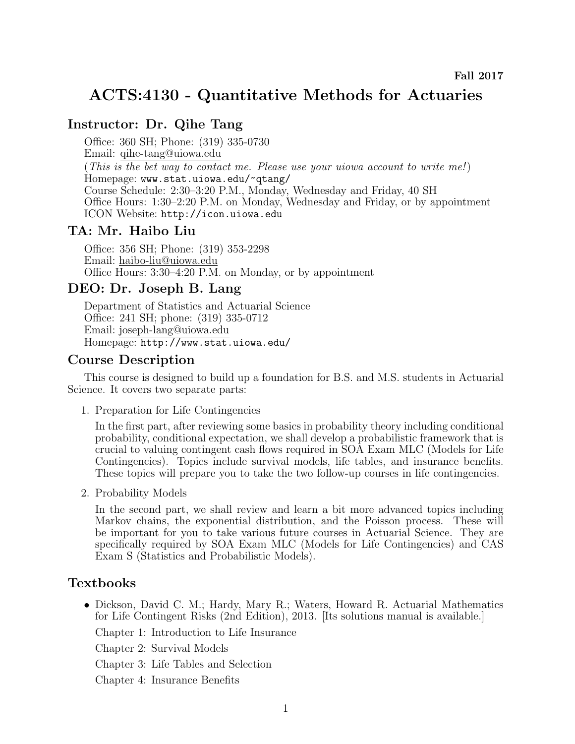# ACTS:4130 - Quantitative Methods for Actuaries

### Instructor: Dr. Qihe Tang

Office: 360 SH; Phone: (319) 335-0730 Email: qihe-tang@uiowa.edu (This is the bet way to contact me. Please use your uiowa account to write me!) Homepage: www.stat.uiowa.edu/~qtang/ Course Schedule: 2:30–3:20 P.M., Monday, Wednesday and Friday, 40 SH Office Hours: 1:30–2:20 P.M. on Monday, Wednesday and Friday, or by appointment ICON Website: http://icon.uiowa.edu

### TA: Mr. Haibo Liu

Office: 356 SH; Phone: (319) 353-2298 Email: haibo-liu@uiowa.edu Office Hours: 3:30–4:20 P.M. on Monday, or by appointment

## DEO: Dr. Joseph B. Lang

Department of Statistics and Actuarial Science Office: 241 SH; phone: (319) 335-0712 Email: joseph-lang@uiowa.edu Homepage: http://www.stat.uiowa.edu/

#### Course Description

This course is designed to build up a foundation for B.S. and M.S. students in Actuarial Science. It covers two separate parts:

1. Preparation for Life Contingencies

In the first part, after reviewing some basics in probability theory including conditional probability, conditional expectation, we shall develop a probabilistic framework that is crucial to valuing contingent cash flows required in SOA Exam MLC (Models for Life Contingencies). Topics include survival models, life tables, and insurance benefits. These topics will prepare you to take the two follow-up courses in life contingencies.

2. Probability Models

In the second part, we shall review and learn a bit more advanced topics including Markov chains, the exponential distribution, and the Poisson process. These will be important for you to take various future courses in Actuarial Science. They are specifically required by SOA Exam MLC (Models for Life Contingencies) and CAS Exam S (Statistics and Probabilistic Models).

### Textbooks

• Dickson, David C. M.; Hardy, Mary R.; Waters, Howard R. Actuarial Mathematics for Life Contingent Risks (2nd Edition), 2013. [Its solutions manual is available.]

Chapter 1: Introduction to Life Insurance

Chapter 2: Survival Models

Chapter 3: Life Tables and Selection

Chapter 4: Insurance Benefits